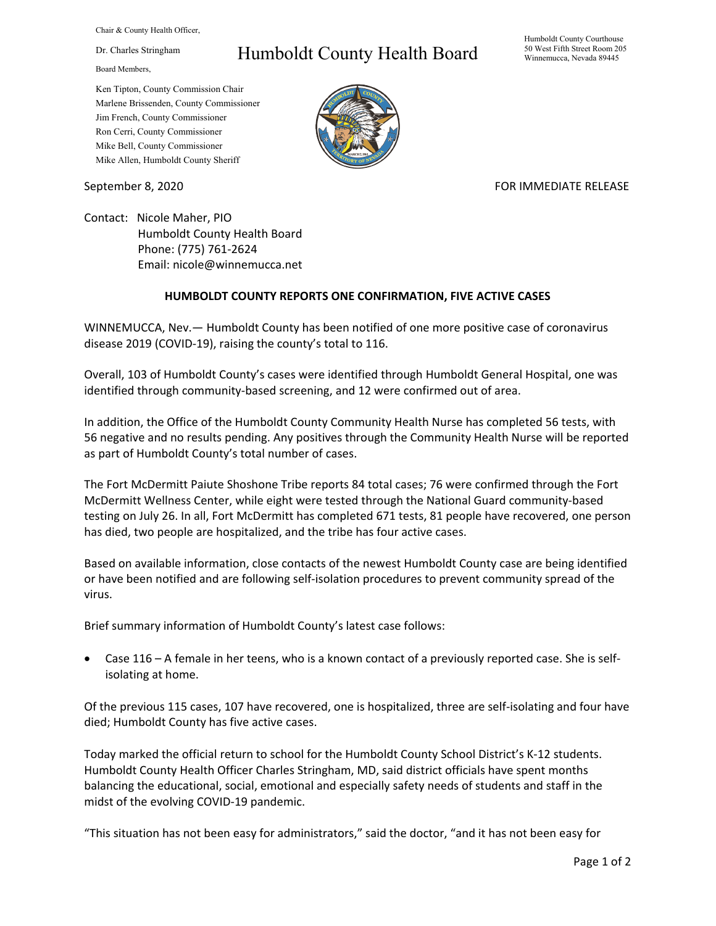Chair & County Health Officer,

Dr. Charles Stringham

Board Members,

## Humboldt County Health Board

Humboldt County Courthouse 50 West Fifth Street Room 205 Winnemucca, Nevada 89445

Ken Tipton, County Commission Chair Marlene Brissenden, County Commissioner Jim French, County Commissioner Ron Cerri, County Commissioner Mike Bell, County Commissioner Mike Allen, Humboldt County Sheriff

September 8, 2020 FOR IMMEDIATE RELEASE

Contact: Nicole Maher, PIO Humboldt County Health Board Phone: (775) 761-2624 Email: nicole@winnemucca.net

## **HUMBOLDT COUNTY REPORTS ONE CONFIRMATION, FIVE ACTIVE CASES**

WINNEMUCCA, Nev.— Humboldt County has been notified of one more positive case of coronavirus disease 2019 (COVID-19), raising the county's total to 116.

Overall, 103 of Humboldt County's cases were identified through Humboldt General Hospital, one was identified through community-based screening, and 12 were confirmed out of area.

In addition, the Office of the Humboldt County Community Health Nurse has completed 56 tests, with 56 negative and no results pending. Any positives through the Community Health Nurse will be reported as part of Humboldt County's total number of cases.

The Fort McDermitt Paiute Shoshone Tribe reports 84 total cases; 76 were confirmed through the Fort McDermitt Wellness Center, while eight were tested through the National Guard community-based testing on July 26. In all, Fort McDermitt has completed 671 tests, 81 people have recovered, one person has died, two people are hospitalized, and the tribe has four active cases.

Based on available information, close contacts of the newest Humboldt County case are being identified or have been notified and are following self-isolation procedures to prevent community spread of the virus.

Brief summary information of Humboldt County's latest case follows:

• Case 116 – A female in her teens, who is a known contact of a previously reported case. She is selfisolating at home.

Of the previous 115 cases, 107 have recovered, one is hospitalized, three are self-isolating and four have died; Humboldt County has five active cases.

Today marked the official return to school for the Humboldt County School District's K-12 students. Humboldt County Health Officer Charles Stringham, MD, said district officials have spent months balancing the educational, social, emotional and especially safety needs of students and staff in the midst of the evolving COVID-19 pandemic.

"This situation has not been easy for administrators," said the doctor, "and it has not been easy for